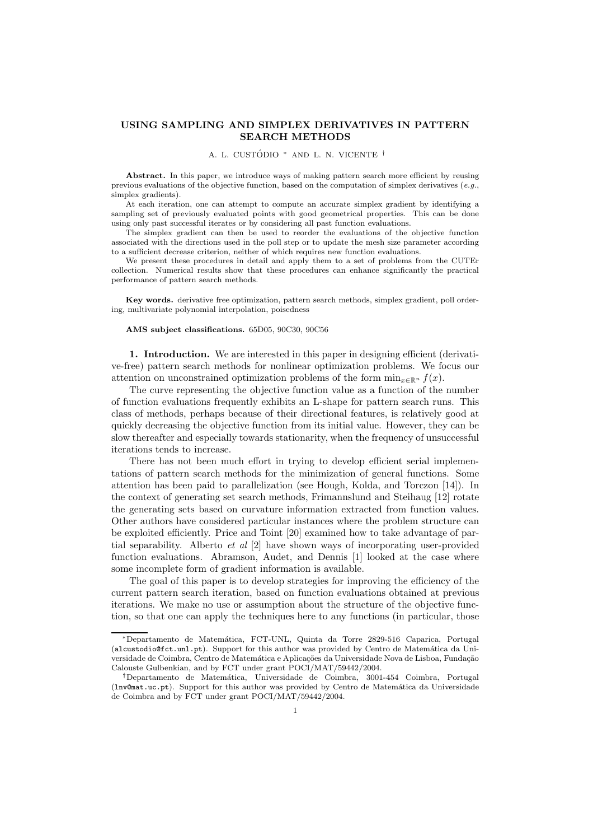## USING SAMPLING AND SIMPLEX DERIVATIVES IN PATTERN SEARCH METHODS

A. L. CUSTÓDIO <sup>\*</sup> AND L. N. VICENTE <sup>†</sup>

Abstract. In this paper, we introduce ways of making pattern search more efficient by reusing previous evaluations of the objective function, based on the computation of simplex derivatives (e.g., simplex gradients).

At each iteration, one can attempt to compute an accurate simplex gradient by identifying a sampling set of previously evaluated points with good geometrical properties. This can be done using only past successful iterates or by considering all past function evaluations.

The simplex gradient can then be used to reorder the evaluations of the objective function associated with the directions used in the poll step or to update the mesh size parameter according to a sufficient decrease criterion, neither of which requires new function evaluations.

We present these procedures in detail and apply them to a set of problems from the CUTEr collection. Numerical results show that these procedures can enhance significantly the practical performance of pattern search methods.

Key words. derivative free optimization, pattern search methods, simplex gradient, poll ordering, multivariate polynomial interpolation, poisedness

#### AMS subject classifications. 65D05, 90C30, 90C56

1. Introduction. We are interested in this paper in designing efficient (derivative-free) pattern search methods for nonlinear optimization problems. We focus our attention on unconstrained optimization problems of the form  $\min_{x \in \mathbb{R}^n} f(x)$ .

The curve representing the objective function value as a function of the number of function evaluations frequently exhibits an L-shape for pattern search runs. This class of methods, perhaps because of their directional features, is relatively good at quickly decreasing the objective function from its initial value. However, they can be slow thereafter and especially towards stationarity, when the frequency of unsuccessful iterations tends to increase.

There has not been much effort in trying to develop efficient serial implementations of pattern search methods for the minimization of general functions. Some attention has been paid to parallelization (see Hough, Kolda, and Torczon [14]). In the context of generating set search methods, Frimannslund and Steihaug [12] rotate the generating sets based on curvature information extracted from function values. Other authors have considered particular instances where the problem structure can be exploited efficiently. Price and Toint [20] examined how to take advantage of partial separability. Alberto et al [2] have shown ways of incorporating user-provided function evaluations. Abramson, Audet, and Dennis [1] looked at the case where some incomplete form of gradient information is available.

The goal of this paper is to develop strategies for improving the efficiency of the current pattern search iteration, based on function evaluations obtained at previous iterations. We make no use or assumption about the structure of the objective function, so that one can apply the techniques here to any functions (in particular, those

<sup>∗</sup>Departamento de Matem´atica, FCT-UNL, Quinta da Torre 2829-516 Caparica, Portugal (alcustodio@fct.unl.pt). Support for this author was provided by Centro de Matemática da Universidade de Coimbra, Centro de Matemática e Aplicações da Universidade Nova de Lisboa, Fundação Calouste Gulbenkian, and by FCT under grant POCI/MAT/59442/2004.

<sup>†</sup>Departamento de Matem´atica, Universidade de Coimbra, 3001-454 Coimbra, Portugal (lnv@mat.uc.pt). Support for this author was provided by Centro de Matem´atica da Universidade de Coimbra and by FCT under grant POCI/MAT/59442/2004.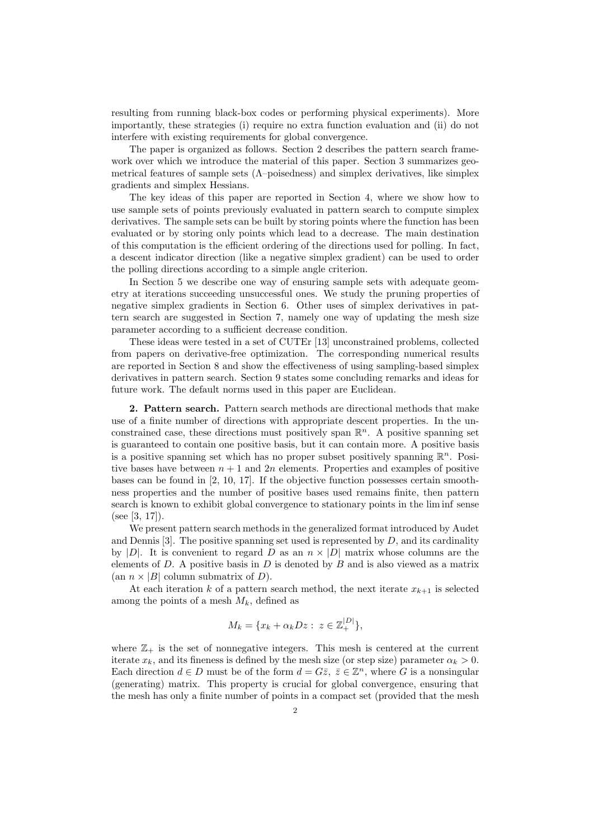resulting from running black-box codes or performing physical experiments). More importantly, these strategies (i) require no extra function evaluation and (ii) do not interfere with existing requirements for global convergence.

The paper is organized as follows. Section 2 describes the pattern search framework over which we introduce the material of this paper. Section 3 summarizes geometrical features of sample sets (Λ–poisedness) and simplex derivatives, like simplex gradients and simplex Hessians.

The key ideas of this paper are reported in Section 4, where we show how to use sample sets of points previously evaluated in pattern search to compute simplex derivatives. The sample sets can be built by storing points where the function has been evaluated or by storing only points which lead to a decrease. The main destination of this computation is the efficient ordering of the directions used for polling. In fact, a descent indicator direction (like a negative simplex gradient) can be used to order the polling directions according to a simple angle criterion.

In Section 5 we describe one way of ensuring sample sets with adequate geometry at iterations succeeding unsuccessful ones. We study the pruning properties of negative simplex gradients in Section 6. Other uses of simplex derivatives in pattern search are suggested in Section 7, namely one way of updating the mesh size parameter according to a sufficient decrease condition.

These ideas were tested in a set of CUTEr [13] unconstrained problems, collected from papers on derivative-free optimization. The corresponding numerical results are reported in Section 8 and show the effectiveness of using sampling-based simplex derivatives in pattern search. Section 9 states some concluding remarks and ideas for future work. The default norms used in this paper are Euclidean.

2. Pattern search. Pattern search methods are directional methods that make use of a finite number of directions with appropriate descent properties. In the unconstrained case, these directions must positively span  $\mathbb{R}^n$ . A positive spanning set is guaranteed to contain one positive basis, but it can contain more. A positive basis is a positive spanning set which has no proper subset positively spanning  $\mathbb{R}^n$ . Positive bases have between  $n + 1$  and  $2n$  elements. Properties and examples of positive bases can be found in [2, 10, 17]. If the objective function possesses certain smoothness properties and the number of positive bases used remains finite, then pattern search is known to exhibit global convergence to stationary points in the lim inf sense (see [3, 17]).

We present pattern search methods in the generalized format introduced by Audet and Dennis  $[3]$ . The positive spanning set used is represented by  $D$ , and its cardinality by |D|. It is convenient to regard D as an  $n \times |D|$  matrix whose columns are the elements of  $D$ . A positive basis in  $D$  is denoted by  $B$  and is also viewed as a matrix  $(an n \times |B| column submatrix of D).$ 

At each iteration k of a pattern search method, the next iterate  $x_{k+1}$  is selected among the points of a mesh  $M_k$ , defined as

$$
M_k = \{x_k + \alpha_k D z : z \in \mathbb{Z}_+^{|D|}\},\
$$

where  $\mathbb{Z}_+$  is the set of nonnegative integers. This mesh is centered at the current iterate  $x_k$ , and its fineness is defined by the mesh size (or step size) parameter  $\alpha_k > 0$ . Each direction  $d \in D$  must be of the form  $d = G\overline{z}$ ,  $\overline{z} \in \mathbb{Z}^n$ , where G is a nonsingular (generating) matrix. This property is crucial for global convergence, ensuring that the mesh has only a finite number of points in a compact set (provided that the mesh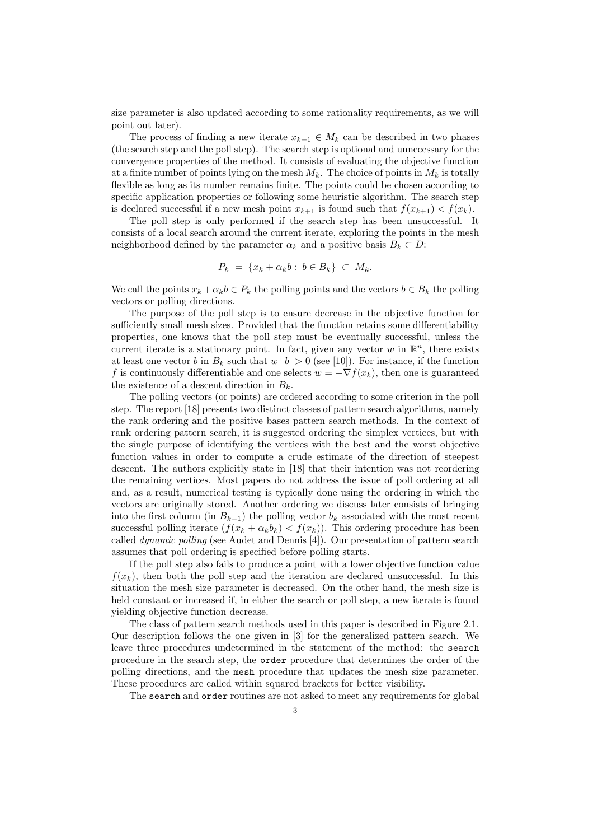size parameter is also updated according to some rationality requirements, as we will point out later).

The process of finding a new iterate  $x_{k+1} \in M_k$  can be described in two phases (the search step and the poll step). The search step is optional and unnecessary for the convergence properties of the method. It consists of evaluating the objective function at a finite number of points lying on the mesh  $M_k$ . The choice of points in  $M_k$  is totally flexible as long as its number remains finite. The points could be chosen according to specific application properties or following some heuristic algorithm. The search step is declared successful if a new mesh point  $x_{k+1}$  is found such that  $f(x_{k+1}) < f(x_k)$ .

The poll step is only performed if the search step has been unsuccessful. It consists of a local search around the current iterate, exploring the points in the mesh neighborhood defined by the parameter  $\alpha_k$  and a positive basis  $B_k \subset D$ :

$$
P_k = \{x_k + \alpha_k b : b \in B_k\} \subset M_k.
$$

We call the points  $x_k + \alpha_k b \in P_k$  the polling points and the vectors  $b \in B_k$  the polling vectors or polling directions.

The purpose of the poll step is to ensure decrease in the objective function for sufficiently small mesh sizes. Provided that the function retains some differentiability properties, one knows that the poll step must be eventually successful, unless the current iterate is a stationary point. In fact, given any vector  $w$  in  $\mathbb{R}^n$ , there exists at least one vector b in  $B_k$  such that  $w^{\top}b > 0$  (see [10]). For instance, if the function f is continuously differentiable and one selects  $w = -\nabla f(x_k)$ , then one is guaranteed the existence of a descent direction in  $B_k$ .

The polling vectors (or points) are ordered according to some criterion in the poll step. The report [18] presents two distinct classes of pattern search algorithms, namely the rank ordering and the positive bases pattern search methods. In the context of rank ordering pattern search, it is suggested ordering the simplex vertices, but with the single purpose of identifying the vertices with the best and the worst objective function values in order to compute a crude estimate of the direction of steepest descent. The authors explicitly state in [18] that their intention was not reordering the remaining vertices. Most papers do not address the issue of poll ordering at all and, as a result, numerical testing is typically done using the ordering in which the vectors are originally stored. Another ordering we discuss later consists of bringing into the first column (in  $B_{k+1}$ ) the polling vector  $b_k$  associated with the most recent successful polling iterate  $(f(x_k + \alpha_k b_k) < f(x_k))$ . This ordering procedure has been called dynamic polling (see Audet and Dennis [4]). Our presentation of pattern search assumes that poll ordering is specified before polling starts.

If the poll step also fails to produce a point with a lower objective function value  $f(x_k)$ , then both the poll step and the iteration are declared unsuccessful. In this situation the mesh size parameter is decreased. On the other hand, the mesh size is held constant or increased if, in either the search or poll step, a new iterate is found yielding objective function decrease.

The class of pattern search methods used in this paper is described in Figure 2.1. Our description follows the one given in [3] for the generalized pattern search. We leave three procedures undetermined in the statement of the method: the search procedure in the search step, the order procedure that determines the order of the polling directions, and the mesh procedure that updates the mesh size parameter. These procedures are called within squared brackets for better visibility.

The search and order routines are not asked to meet any requirements for global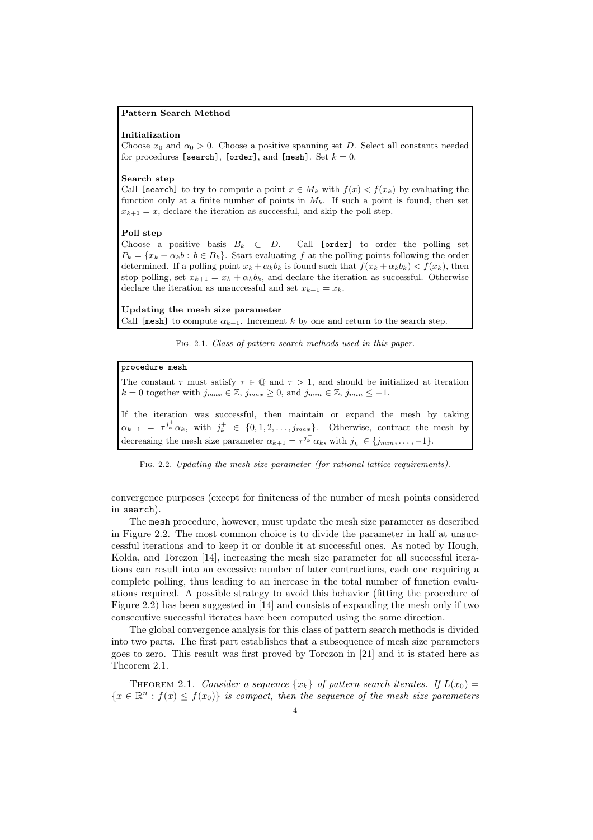# Pattern Search Method

#### Initialization

Choose  $x_0$  and  $\alpha_0 > 0$ . Choose a positive spanning set D. Select all constants needed for procedures [search], [order], and [mesh]. Set  $k = 0$ .

### Search step

Call [search] to try to compute a point  $x \in M_k$  with  $f(x) < f(x_k)$  by evaluating the function only at a finite number of points in  $M_k$ . If such a point is found, then set  $x_{k+1} = x$ , declare the iteration as successful, and skip the poll step.

### Poll step

Choose a positive basis  $B_k \subset D$ . Call [order] to order the polling set  $P_k = \{x_k + \alpha_k b : b \in B_k\}.$  Start evaluating f at the polling points following the order determined. If a polling point  $x_k + \alpha_k b_k$  is found such that  $f(x_k + \alpha_k b_k) < f(x_k)$ , then stop polling, set  $x_{k+1} = x_k + \alpha_k b_k$ , and declare the iteration as successful. Otherwise declare the iteration as unsuccessful and set  $x_{k+1} = x_k$ .

# Updating the mesh size parameter Call [mesh] to compute  $\alpha_{k+1}$ . Increment k by one and return to the search step.

Fig. 2.1. Class of pattern search methods used in this paper.

procedure mesh

The constant  $\tau$  must satisfy  $\tau \in \mathbb{Q}$  and  $\tau > 1$ , and should be initialized at iteration  $k = 0$  together with  $j_{max} \in \mathbb{Z}$ ,  $j_{max} \ge 0$ , and  $j_{min} \in \mathbb{Z}$ ,  $j_{min} \le -1$ .

If the iteration was successful, then maintain or expand the mesh by taking  $\alpha_{k+1} = \tau^{j_k^+} \alpha_k$ , with  $j_k^+ \in \{0, 1, 2, \ldots, j_{max}\}.$  Otherwise, contract the mesh by decreasing the mesh size parameter  $\alpha_{k+1} = \tau^{j_k^-} \alpha_k$ , with  $j_k^- \in \{j_{min}, \ldots, -1\}$ .

FIG. 2.2. Updating the mesh size parameter (for rational lattice requirements).

convergence purposes (except for finiteness of the number of mesh points considered in search).

The mesh procedure, however, must update the mesh size parameter as described in Figure 2.2. The most common choice is to divide the parameter in half at unsuccessful iterations and to keep it or double it at successful ones. As noted by Hough, Kolda, and Torczon [14], increasing the mesh size parameter for all successful iterations can result into an excessive number of later contractions, each one requiring a complete polling, thus leading to an increase in the total number of function evaluations required. A possible strategy to avoid this behavior (fitting the procedure of Figure 2.2) has been suggested in [14] and consists of expanding the mesh only if two consecutive successful iterates have been computed using the same direction.

The global convergence analysis for this class of pattern search methods is divided into two parts. The first part establishes that a subsequence of mesh size parameters goes to zero. This result was first proved by Torczon in [21] and it is stated here as Theorem 2.1.

THEOREM 2.1. Consider a sequence  $\{x_k\}$  of pattern search iterates. If  $L(x_0) =$  ${x \in \mathbb{R}^n : f(x) \le f(x_0)}$  is compact, then the sequence of the mesh size parameters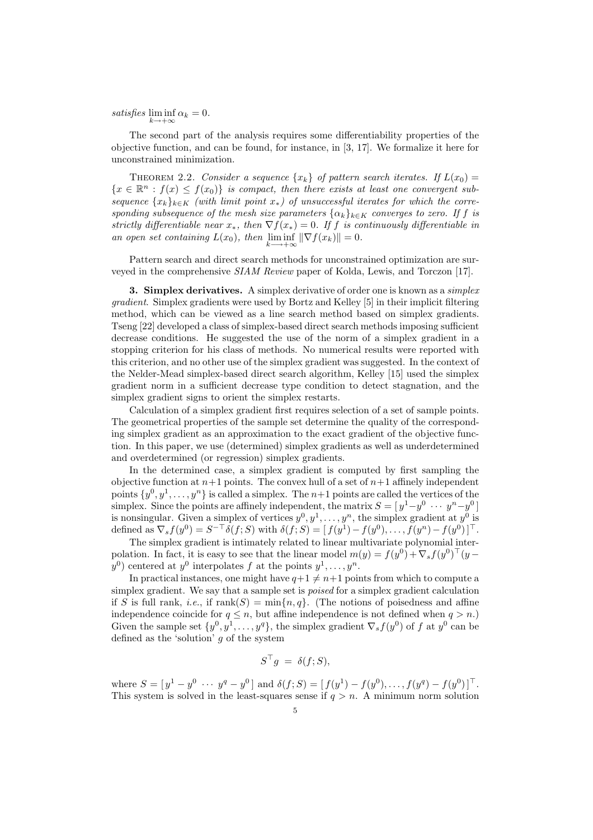satisfies  $\liminf_{k \to +\infty} \alpha_k = 0.$ 

The second part of the analysis requires some differentiability properties of the objective function, and can be found, for instance, in [3, 17]. We formalize it here for unconstrained minimization.

THEOREM 2.2. Consider a sequence  $\{x_k\}$  of pattern search iterates. If  $L(x_0) =$  ${x \in \mathbb{R}^n : f(x) \le f(x_0)}$  is compact, then there exists at least one convergent subsequence  ${x_k}_{k \in K}$  (with limit point  $x_{*}$ ) of unsuccessful iterates for which the corresponding subsequence of the mesh size parameters  $\{\alpha_k\}_{k\in K}$  converges to zero. If f is strictly differentiable near  $x_*$ , then  $\nabla f(x_*) = 0$ . If f is continuously differentiable in an open set containing  $L(x_0)$ , then  $\liminf_{k \to +\infty} \|\nabla f(x_k)\| = 0$ .

Pattern search and direct search methods for unconstrained optimization are surveyed in the comprehensive SIAM Review paper of Kolda, Lewis, and Torczon [17].

3. Simplex derivatives. A simplex derivative of order one is known as a *simplex* gradient. Simplex gradients were used by Bortz and Kelley [5] in their implicit filtering method, which can be viewed as a line search method based on simplex gradients. Tseng [22] developed a class of simplex-based direct search methods imposing sufficient decrease conditions. He suggested the use of the norm of a simplex gradient in a stopping criterion for his class of methods. No numerical results were reported with this criterion, and no other use of the simplex gradient was suggested. In the context of the Nelder-Mead simplex-based direct search algorithm, Kelley [15] used the simplex gradient norm in a sufficient decrease type condition to detect stagnation, and the simplex gradient signs to orient the simplex restarts.

Calculation of a simplex gradient first requires selection of a set of sample points. The geometrical properties of the sample set determine the quality of the corresponding simplex gradient as an approximation to the exact gradient of the objective function. In this paper, we use (determined) simplex gradients as well as underdetermined and overdetermined (or regression) simplex gradients.

In the determined case, a simplex gradient is computed by first sampling the objective function at  $n+1$  points. The convex hull of a set of  $n+1$  affinely independent points  $\{y^0, y^1, \ldots, y^n\}$  is called a simplex. The  $n+1$  points are called the vertices of the simplex. Since the points are affinely independent, the matrix  $S = [y^1 - y^0 \cdots y^n - y^0]$ is nonsingular. Given a simplex of vertices  $y^0, y^1, \ldots, y^n$ , the simplex gradient at  $y^0$  is defined as  $\nabla_s f(y^0) = S^{-\top} \delta(f; S)$  with  $\delta(f; S) = [f(y^1) - f(y^0), \dots, f(y^n) - f(y^0)]^{\top}$ .

The simplex gradient is intimately related to linear multivariate polynomial interpolation. In fact, it is easy to see that the linear model  $m(y) = f(y^0) + \nabla_s f(y^0)^\top (y$  $y^0$ ) centered at  $y^0$  interpolates f at the points  $y^1, \ldots, y^n$ .

In practical instances, one might have  $q+1 \neq n+1$  points from which to compute a simplex gradient. We say that a sample set is poised for a simplex gradient calculation if S is full rank, *i.e.*, if  $rank(S) = min\{n, q\}$ . (The notions of poisedness and affine independence coincide for  $q \leq n$ , but affine independence is not defined when  $q > n$ . Given the sample set  $\{y^0, y^1, \ldots, y^q\}$ , the simplex gradient  $\nabla_s f(y^0)$  of f at  $y^0$  can be defined as the 'solution'  $g$  of the system

$$
S^{\top}g\ =\ \delta(f;S),
$$

where  $S = [y^1 - y^0 \cdots y^q - y^0]$  and  $\delta(f; S) = [f(y^1) - f(y^0), \dots, f(y^q) - f(y^0)]^{\top}$ . This system is solved in the least-squares sense if  $q > n$ . A minimum norm solution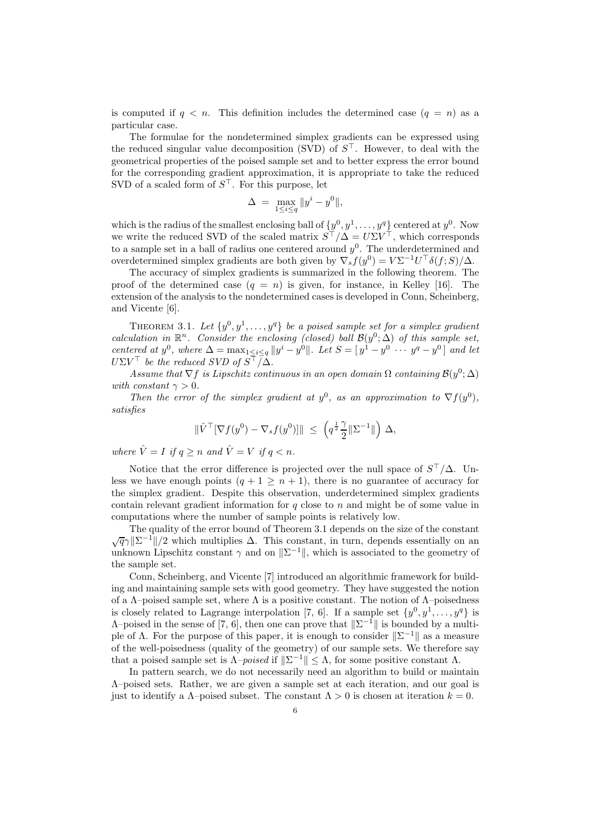is computed if  $q \leq n$ . This definition includes the determined case  $(q = n)$  as a particular case.

The formulae for the nondetermined simplex gradients can be expressed using the reduced singular value decomposition (SVD) of  $S^{\top}$ . However, to deal with the geometrical properties of the poised sample set and to better express the error bound for the corresponding gradient approximation, it is appropriate to take the reduced SVD of a scaled form of  $S^{\top}$ . For this purpose, let

$$
\Delta = \max_{1 \leq i \leq q} \|y^i - y^0\|,
$$

which is the radius of the smallest enclosing ball of  $\{y^0, y^1, \ldots, y^q\}$  centered at  $y^0$ . Now we write the reduced SVD of the scaled matrix  $S^{\top}/\Delta = U\Sigma V^{\top}$ , which corresponds to a sample set in a ball of radius one centered around  $y^0$ . The underdetermined and overdetermined simplex gradients are both given by  $\nabla_s f(y^0) = V \Sigma^{-1} U^\top \delta(f;S) / \Delta$ .

The accuracy of simplex gradients is summarized in the following theorem. The proof of the determined case  $(q = n)$  is given, for instance, in Kelley [16]. The extension of the analysis to the nondetermined cases is developed in Conn, Scheinberg, and Vicente [6].

THEOREM 3.1. Let  $\{y^0, y^1, \ldots, y^q\}$  be a poised sample set for a simplex gradient calculation in  $\mathbb{R}^n$ . Consider the enclosing (closed) ball  $\mathcal{B}(y^0; \Delta)$  of this sample set, centered at  $y^0$ , where  $\Delta = \max_{1 \leq i \leq q} ||y^i - y^0||$ . Let  $S = [y^1 - y^0 \cdots y^q - y^0]$  and let  $U\Sigma V^{\top}$  be the reduced SVD of  $S^{\top}/\Delta$ .

Assume that  $\nabla f$  is Lipschitz continuous in an open domain  $\Omega$  containing  $\mathcal{B}(y^0; \Delta)$ with constant  $\gamma > 0$ .

Then the error of the simplex gradient at  $y^0$ , as an approximation to  $\nabla f(y^0)$ , satisfies

$$
\|\hat{V}^{\top}[\nabla f(y^0) - \nabla_s f(y^0)]\| \ \leq \ \left(q^{\frac{1}{2}}\frac{\gamma}{2}\|\Sigma^{-1}\|\right) \, \Delta,
$$

where  $\hat{V} = I$  if  $q > n$  and  $\hat{V} = V$  if  $q < n$ .

Notice that the error difference is projected over the null space of  $S^{\top}/\Delta$ . Unless we have enough points  $(q + 1 \ge n + 1)$ , there is no guarantee of accuracy for the simplex gradient. Despite this observation, underdetermined simplex gradients contain relevant gradient information for  $q$  close to  $n$  and might be of some value in computations where the number of sample points is relatively low.

The quality of the error bound of Theorem 3.1 depends on the size of the constant  $\sqrt{q}\gamma\|\Sigma^{-1}\|/2$  which multiplies  $\Delta$ . This constant, in turn, depends essentially on an unknown Lipschitz constant  $\gamma$  and on  $\|\Sigma^{-1}\|$ , which is associated to the geometry of the sample set.

Conn, Scheinberg, and Vicente [7] introduced an algorithmic framework for building and maintaining sample sets with good geometry. They have suggested the notion of a  $\Lambda$ –poised sample set, where  $\Lambda$  is a positive constant. The notion of  $\Lambda$ –poisedness is closely related to Lagrange interpolation [7, 6]. If a sample set  $\{y^0, y^1, \ldots, y^q\}$  is Λ–poised in the sense of [7, 6], then one can prove that  $\|\Sigma^{-1}\|$  is bounded by a multiple of  $\Lambda$ . For the purpose of this paper, it is enough to consider  $\|\Sigma^{-1}\|$  as a measure of the well-poisedness (quality of the geometry) of our sample sets. We therefore say that a poised sample set is  $\Lambda$ -poised if  $\|\Sigma^{-1}\| \leq \Lambda$ , for some positive constant  $\Lambda$ .

In pattern search, we do not necessarily need an algorithm to build or maintain Λ–poised sets. Rather, we are given a sample set at each iteration, and our goal is just to identify a  $\Lambda$ –poised subset. The constant  $\Lambda > 0$  is chosen at iteration  $k = 0$ .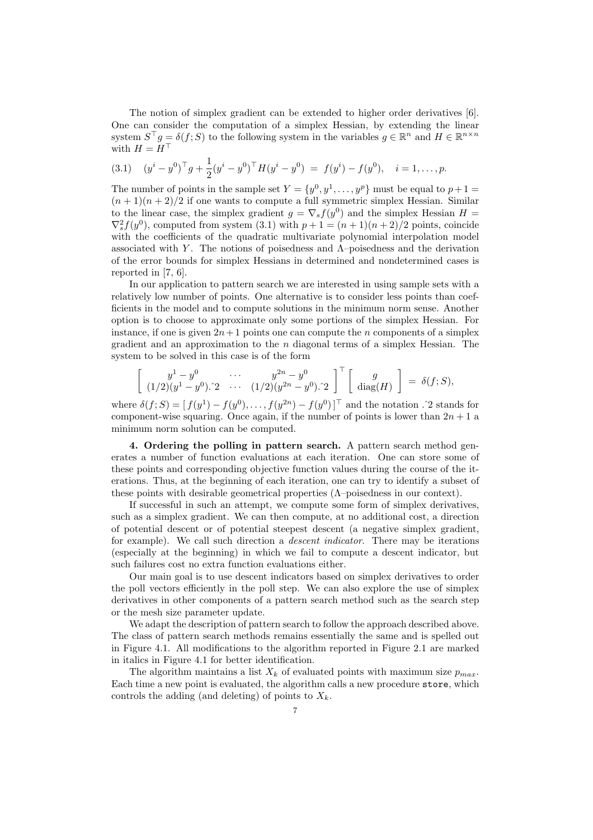The notion of simplex gradient can be extended to higher order derivatives [6]. One can consider the computation of a simplex Hessian, by extending the linear system  $S^{\top} g = \delta(f; S)$  to the following system in the variables  $g \in \mathbb{R}^{n}$  and  $H \in \mathbb{R}^{n \times n}$ with  $H = H^{\top}$ 

$$
(3.1) \quad (y^{i} - y^{0})^{\top} g + \frac{1}{2} (y^{i} - y^{0})^{\top} H (y^{i} - y^{0}) = f(y^{i}) - f(y^{0}), \quad i = 1, ..., p.
$$

The number of points in the sample set  $Y = \{y^0, y^1, \ldots, y^p\}$  must be equal to  $p + 1 =$  $(n+1)(n+2)/2$  if one wants to compute a full symmetric simplex Hessian. Similar to the linear case, the simplex gradient  $g = \nabla_s f(y^0)$  and the simplex Hessian  $H =$  $\nabla_s^2 f(y^0)$ , computed from system (3.1) with  $p + 1 = (n + 1)(n + 2)/2$  points, coincide with the coefficients of the quadratic multivariate polynomial interpolation model associated with Y. The notions of poisedness and  $\Lambda$ –poisedness and the derivation of the error bounds for simplex Hessians in determined and nondetermined cases is reported in [7, 6].

In our application to pattern search we are interested in using sample sets with a relatively low number of points. One alternative is to consider less points than coefficients in the model and to compute solutions in the minimum norm sense. Another option is to choose to approximate only some portions of the simplex Hessian. For instance, if one is given  $2n+1$  points one can compute the n components of a simplex gradient and an approximation to the  $n$  diagonal terms of a simplex Hessian. The system to be solved in this case is of the form

$$
\begin{bmatrix} y^1 - y^0 & \cdots & y^{2n} - y^0 \\ (1/2)(y^1 - y^0) \cdot 2 & \cdots & (1/2)(y^{2n} - y^0) \cdot 2 \end{bmatrix}^\top \begin{bmatrix} g \\ \text{diag}(H) \end{bmatrix} = \delta(f;S),
$$

where  $\delta(f; S) = [f(y^1) - f(y^0), \dots, f(y^{2n}) - f(y^0)]^\top$  and the notation . 2 stands for component-wise squaring. Once again, if the number of points is lower than  $2n + 1$  a minimum norm solution can be computed.

4. Ordering the polling in pattern search. A pattern search method generates a number of function evaluations at each iteration. One can store some of these points and corresponding objective function values during the course of the iterations. Thus, at the beginning of each iteration, one can try to identify a subset of these points with desirable geometrical properties  $(Λ$ -poisedness in our context).

If successful in such an attempt, we compute some form of simplex derivatives, such as a simplex gradient. We can then compute, at no additional cost, a direction of potential descent or of potential steepest descent (a negative simplex gradient, for example). We call such direction a descent indicator. There may be iterations (especially at the beginning) in which we fail to compute a descent indicator, but such failures cost no extra function evaluations either.

Our main goal is to use descent indicators based on simplex derivatives to order the poll vectors efficiently in the poll step. We can also explore the use of simplex derivatives in other components of a pattern search method such as the search step or the mesh size parameter update.

We adapt the description of pattern search to follow the approach described above. The class of pattern search methods remains essentially the same and is spelled out in Figure 4.1. All modifications to the algorithm reported in Figure 2.1 are marked in italics in Figure 4.1 for better identification.

The algorithm maintains a list  $X_k$  of evaluated points with maximum size  $p_{max}$ . Each time a new point is evaluated, the algorithm calls a new procedure store, which controls the adding (and deleting) of points to  $X_k$ .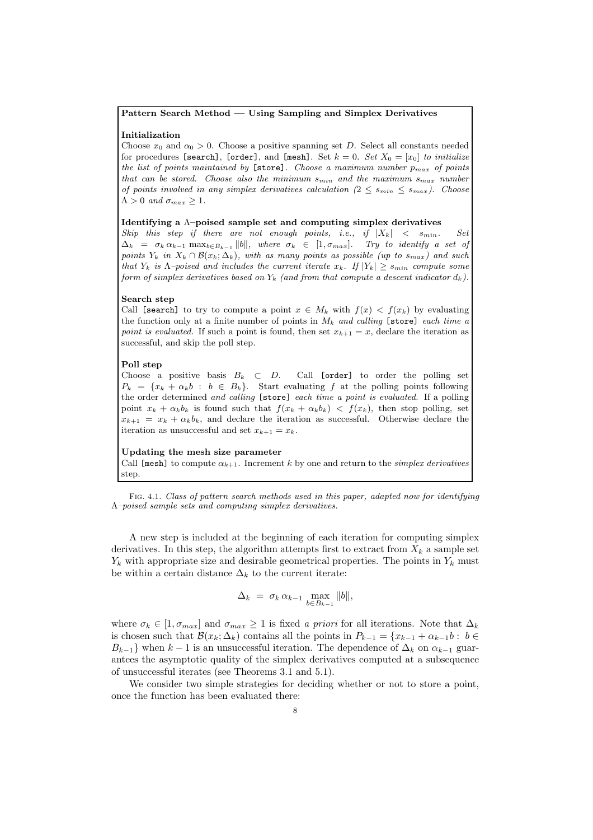# Pattern Search Method — Using Sampling and Simplex Derivatives

#### Initialization

Choose  $x_0$  and  $\alpha_0 > 0$ . Choose a positive spanning set D. Select all constants needed for procedures [search], [order], and [mesh]. Set  $k = 0$ . Set  $X_0 = [x_0]$  to initialize the list of points maintained by [store]. Choose a maximum number  $p_{max}$  of points that can be stored. Choose also the minimum  $s_{min}$  and the maximum  $s_{max}$  number of points involved in any simplex derivatives calculation  $(2 \leq s_{min} \leq s_{max})$ . Choose  $\Lambda > 0$  and  $\sigma_{max} \geq 1$ .

### Identifying a Λ–poised sample set and computing simplex derivatives

Skip this step if there are not enough points, i.e., if  $|X_k| < s_{min}$ . Set  $\Delta_k = \sigma_k \alpha_{k-1} \max_{b \in B_{k-1}} ||b||$ , where  $\sigma_k \in [1, \sigma_{max}]$ . Try to identify a set of points  $Y_k$  in  $X_k \cap \mathcal{B}(x_k; \Delta_k)$ , with as many points as possible (up to  $s_{max}$ ) and such that  $Y_k$  is  $\Lambda$ -poised and includes the current iterate  $x_k$ . If  $|Y_k| \geq s_{min}$  compute some form of simplex derivatives based on  $Y_k$  (and from that compute a descent indicator  $d_k$ ).

## Search step

Call [search] to try to compute a point  $x \in M_k$  with  $f(x) < f(x_k)$  by evaluating the function only at a finite number of points in  $M_k$  and calling [store] each time a point is evaluated. If such a point is found, then set  $x_{k+1} = x$ , declare the iteration as successful, and skip the poll step.

### Poll step

Choose a positive basis  $B_k \subset D$ . Call [order] to order the polling set  $P_k = \{x_k + \alpha_k b : b \in B_k\}.$  Start evaluating f at the polling points following the order determined and calling [store] each time a point is evaluated. If a polling point  $x_k + \alpha_k b_k$  is found such that  $f(x_k + \alpha_k b_k) < f(x_k)$ , then stop polling, set  $x_{k+1} = x_k + \alpha_k b_k$ , and declare the iteration as successful. Otherwise declare the iteration as unsuccessful and set  $x_{k+1} = x_k$ .

#### Updating the mesh size parameter

Call [mesh] to compute  $\alpha_{k+1}$ . Increment k by one and return to the *simplex derivatives* step.

Fig. 4.1. Class of pattern search methods used in this paper, adapted now for identifying Λ–poised sample sets and computing simplex derivatives.

A new step is included at the beginning of each iteration for computing simplex derivatives. In this step, the algorithm attempts first to extract from  $X_k$  a sample set  $Y_k$  with appropriate size and desirable geometrical properties. The points in  $Y_k$  must be within a certain distance  $\Delta_k$  to the current iterate:

$$
\Delta_k = \sigma_k \, \alpha_{k-1} \max_{b \in B_{k-1}} ||b||,
$$

where  $\sigma_k \in [1, \sigma_{max}]$  and  $\sigma_{max} \ge 1$  is fixed a priori for all iterations. Note that  $\Delta_k$ is chosen such that  $\mathcal{B}(x_k; \Delta_k)$  contains all the points in  $P_{k-1} = \{x_{k-1} + \alpha_{k-1}b : b \in$  $B_{k-1}$ } when  $k-1$  is an unsuccessful iteration. The dependence of  $\Delta_k$  on  $\alpha_{k-1}$  guarantees the asymptotic quality of the simplex derivatives computed at a subsequence of unsuccessful iterates (see Theorems 3.1 and 5.1).

We consider two simple strategies for deciding whether or not to store a point, once the function has been evaluated there: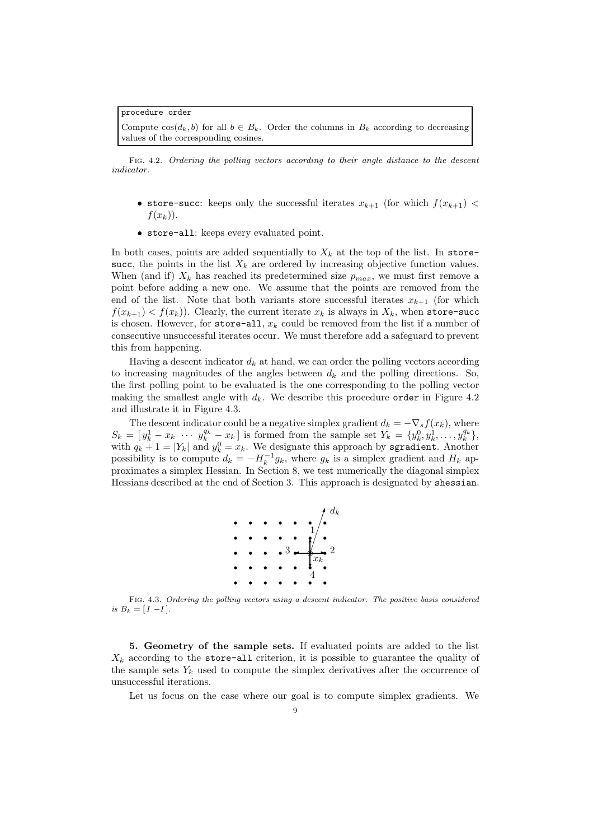procedure order

Compute  $\cos(d_k, b)$  for all  $b \in B_k$ . Order the columns in  $B_k$  according to decreasing values of the corresponding cosines.

Fig. 4.2. Ordering the polling vectors according to their angle distance to the descent indicator.

- store-succ: keeps only the successful iterates  $x_{k+1}$  (for which  $f(x_{k+1})$ )  $f(x_k)$ ).
- store-all: keeps every evaluated point.

In both cases, points are added sequentially to  $X_k$  at the top of the list. In storesucc, the points in the list  $X_k$  are ordered by increasing objective function values. When (and if)  $X_k$  has reached its predetermined size  $p_{max}$ , we must first remove a point before adding a new one. We assume that the points are removed from the end of the list. Note that both variants store successful iterates  $x_{k+1}$  (for which  $f(x_{k+1}) < f(x_k)$ ). Clearly, the current iterate  $x_k$  is always in  $X_k$ , when store-succ is chosen. However, for store-all,  $x_k$  could be removed from the list if a number of consecutive unsuccessful iterates occur. We must therefore add a safeguard to prevent this from happening.

Having a descent indicator  $d_k$  at hand, we can order the polling vectors according to increasing magnitudes of the angles between  $d_k$  and the polling directions. So, the first polling point to be evaluated is the one corresponding to the polling vector making the smallest angle with  $d_k$ . We describe this procedure order in Figure 4.2 and illustrate it in Figure 4.3.

The descent indicator could be a negative simplex gradient  $d_k = -\nabla_s f(x_k)$ , where  $S_k = [y_k^1 - x_k \cdots y_k^{q_k} - x_k]$  is formed from the sample set  $Y_k = \{y_k^0, y_k^1, \ldots, y_k^{q_k}\},$ with  $q_k + 1 = |Y_k|$  and  $y_k^0 = x_k$ . We designate this approach by **sgradient**. Another possibility is to compute  $d_k = -H_k^{-1}g_k$ , where  $g_k$  is a simplex gradient and  $H_k$  approximates a simplex Hessian. In Section 8, we test numerically the diagonal simplex Hessians described at the end of Section 3. This approach is designated by shessian.



Fig. 4.3. Ordering the polling vectors using a descent indicator. The positive basis considered is  $B_k = [I - I].$ 

5. Geometry of the sample sets. If evaluated points are added to the list  $X_k$  according to the store-all criterion, it is possible to guarantee the quality of the sample sets  $Y_k$  used to compute the simplex derivatives after the occurrence of unsuccessful iterations.

Let us focus on the case where our goal is to compute simplex gradients. We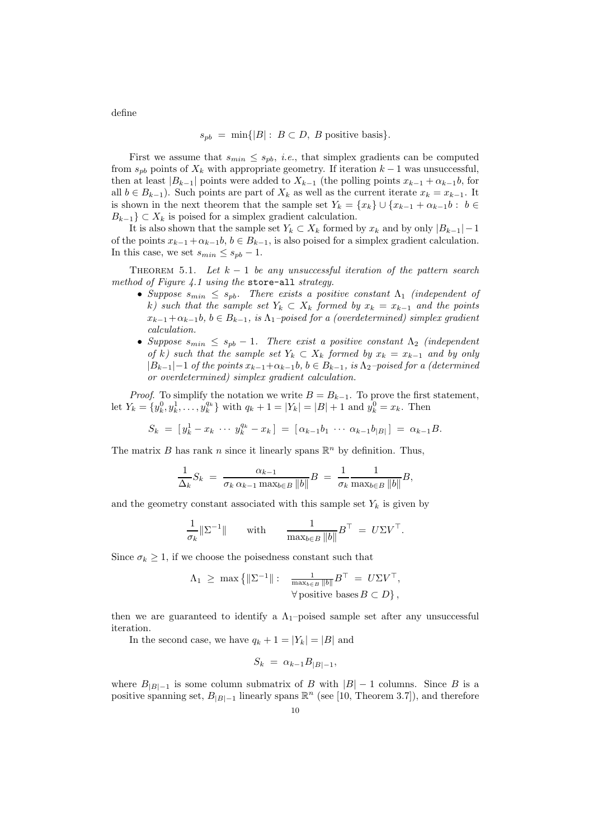$s_{pb} = \min\{|B|: B \subset D, B$  positive basis}.

First we assume that  $s_{min} \leq s_{pb}$ , *i.e.*, that simplex gradients can be computed from  $s_{pb}$  points of  $X_k$  with appropriate geometry. If iteration  $k-1$  was unsuccessful, then at least  $|B_{k-1}|$  points were added to  $X_{k-1}$  (the polling points  $x_{k-1} + \alpha_{k-1}b$ , for all  $b \in B_{k-1}$ ). Such points are part of  $X_k$  as well as the current iterate  $x_k = x_{k-1}$ . It is shown in the next theorem that the sample set  $Y_k = \{x_k\} \cup \{x_{k-1} + \alpha_{k-1}b : b \in$  $B_{k-1}$   $\subset X_k$  is poised for a simplex gradient calculation.

It is also shown that the sample set  $Y_k \subset X_k$  formed by  $x_k$  and by only  $|B_{k-1}|-1$ of the points  $x_{k-1} + \alpha_{k-1}b, b \in B_{k-1}$ , is also poised for a simplex gradient calculation. In this case, we set  $s_{min} \leq s_{pb} - 1$ .

THEOREM 5.1. Let  $k-1$  be any unsuccessful iteration of the pattern search method of Figure 4.1 using the store-all strategy.

- Suppose  $s_{min} \leq s_{pb}$ . There exists a positive constant  $\Lambda_1$  (independent of k) such that the sample set  $Y_k \subset X_k$  formed by  $x_k = x_{k-1}$  and the points  $x_{k-1}+\alpha_{k-1}b, b \in B_{k-1}$ , is  $\Lambda_1$ -poised for a (overdetermined) simplex gradient calculation.
- Suppose  $s_{min} \leq s_{pb} 1$ . There exist a positive constant  $\Lambda_2$  (independent of k) such that the sample set  $Y_k \subset X_k$  formed by  $x_k = x_{k-1}$  and by only  $|B_{k-1}|-1$  of the points  $x_{k-1}+\alpha_{k-1}b, b \in B_{k-1}$ , is  $\Lambda_2$ -poised for a (determined or overdetermined) simplex gradient calculation.

*Proof.* To simplify the notation we write  $B = B_{k-1}$ . To prove the first statement, let  $Y_k = \{y_k^0, y_k^1, \ldots, y_k^{q_k}\}\$  with  $q_k + 1 = |Y_k| = |B| + 1$  and  $y_k^0 = x_k$ . Then

$$
S_k = [y_k^1 - x_k \cdots y_k^{q_k} - x_k] = [\alpha_{k-1}b_1 \cdots \alpha_{k-1}b_{|B|}] = \alpha_{k-1}B.
$$

The matrix  $B$  has rank  $n$  since it linearly spans  $\mathbb{R}^n$  by definition. Thus,

$$
\frac{1}{\Delta_k} S_k = \frac{\alpha_{k-1}}{\sigma_k \alpha_{k-1} \max_{b \in B} ||b||} B = \frac{1}{\sigma_k} \frac{1}{\max_{b \in B} ||b||} B,
$$

and the geometry constant associated with this sample set  $Y_k$  is given by

$$
\frac{1}{\sigma_k} \|\Sigma^{-1}\| \quad \text{with} \quad \frac{1}{\max_{b \in B} \|b\|} B^{\top} = U \Sigma V^{\top}.
$$

Since  $\sigma_k \geq 1$ , if we choose the poisedness constant such that

$$
\Lambda_1 \ge \max \{ \|\Sigma^{-1}\|: \frac{1}{\max_{b \in B} \|b\|} B^{\top} = U \Sigma V^{\top},
$$
  
  $\forall$  positive bases  $B \subset D \},$ 

then we are guaranteed to identify a  $\Lambda_1$ –poised sample set after any unsuccessful iteration.

In the second case, we have  $q_k + 1 = |Y_k| = |B|$  and

$$
S_k = \alpha_{k-1} B_{|B|-1},
$$

where  $B_{|B|-1}$  is some column submatrix of B with  $|B|-1$  columns. Since B is a positive spanning set,  $B_{|B|-1}$  linearly spans  $\mathbb{R}^n$  (see [10, Theorem 3.7]), and therefore

define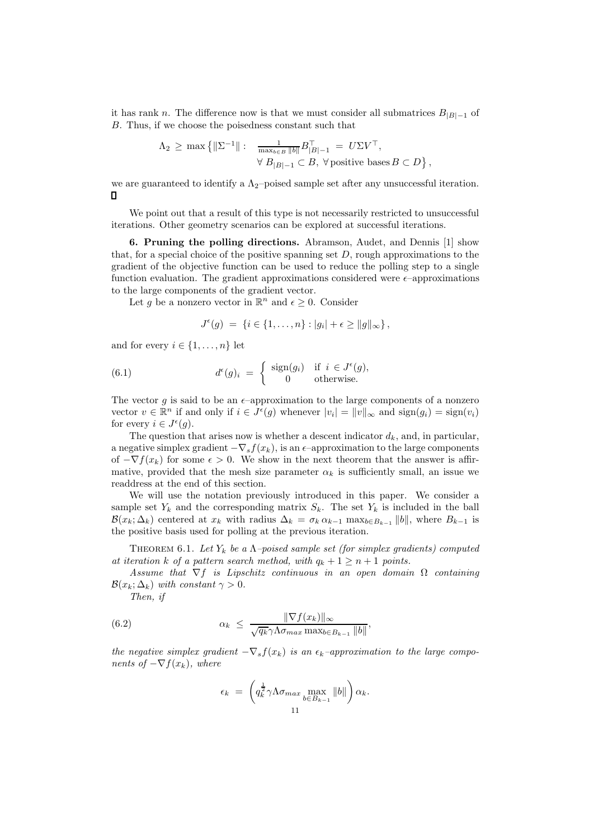it has rank n. The difference now is that we must consider all submatrices  $B_{|B|-1}$  of B. Thus, if we choose the poisedness constant such that

$$
\Lambda_2 \ge \max \left\{ \|\Sigma^{-1}\|: \frac{1}{\max_{b \in B} \|b\|} B_{|B|-1}^{\top} = U \Sigma V^{\top}, \right\}
$$
  

$$
\forall B_{|B|-1} \subset B, \forall \text{ positive bases } B \subset D \right\},
$$

we are guaranteed to identify a  $\Lambda_2$ –poised sample set after any unsuccessful iteration.  $\Box$ 

We point out that a result of this type is not necessarily restricted to unsuccessful iterations. Other geometry scenarios can be explored at successful iterations.

6. Pruning the polling directions. Abramson, Audet, and Dennis [1] show that, for a special choice of the positive spanning set  $D$ , rough approximations to the gradient of the objective function can be used to reduce the polling step to a single function evaluation. The gradient approximations considered were  $\epsilon$ –approximations to the large components of the gradient vector.

Let g be a nonzero vector in  $\mathbb{R}^n$  and  $\epsilon \geq 0$ . Consider

$$
J^{\epsilon}(g) = \{i \in \{1, \ldots, n\} : |g_i| + \epsilon \ge ||g||_{\infty}\},\
$$

and for every  $i \in \{1, \ldots, n\}$  let

(6.1) 
$$
d^{\epsilon}(g)_i = \begin{cases} \text{sign}(g_i) & \text{if } i \in J^{\epsilon}(g), \\ 0 & \text{otherwise.} \end{cases}
$$

The vector q is said to be an  $\epsilon$ –approximation to the large components of a nonzero vector  $v \in \mathbb{R}^n$  if and only if  $i \in J^{\epsilon}(g)$  whenever  $|v_i| = ||v||_{\infty}$  and  $\text{sign}(g_i) = \text{sign}(v_i)$ for every  $i \in J^{\epsilon}(g)$ .

The question that arises now is whether a descent indicator  $d_k$ , and, in particular, a negative simplex gradient  $-\nabla_s f(x_k)$ , is an  $\epsilon$ –approximation to the large components of  $-\nabla f(x_k)$  for some  $\epsilon > 0$ . We show in the next theorem that the answer is affirmative, provided that the mesh size parameter  $\alpha_k$  is sufficiently small, an issue we readdress at the end of this section.

We will use the notation previously introduced in this paper. We consider a sample set  $Y_k$  and the corresponding matrix  $S_k$ . The set  $Y_k$  is included in the ball  $\mathcal{B}(x_k; \Delta_k)$  centered at  $x_k$  with radius  $\Delta_k = \sigma_k \alpha_{k-1} \max_{b \in B_{k-1}} ||b||$ , where  $B_{k-1}$  is the positive basis used for polling at the previous iteration.

THEOREM 6.1. Let  $Y_k$  be a  $\Lambda$ -poised sample set (for simplex gradients) computed at iteration k of a pattern search method, with  $q_k + 1 \geq n + 1$  points.

Assume that  $\nabla f$  is Lipschitz continuous in an open domain  $\Omega$  containing  $\mathcal{B}(x_k; \Delta_k)$  with constant  $\gamma > 0$ .

Then, if

(6.2) 
$$
\alpha_k \leq \frac{\|\nabla f(x_k)\|_{\infty}}{\sqrt{q_k}\gamma \Lambda \sigma_{max} \max_{b \in B_{k-1}} \|b\|},
$$

the negative simplex gradient  $-\nabla_s f(x_k)$  is an  $\epsilon_k$ -approximation to the large components of  $-\nabla f(x_k)$ , where

$$
\epsilon_k = \left( q_k^{\frac{1}{2}} \gamma \Lambda \sigma_{max} \max_{b \in B_{k-1}} ||b|| \right) \alpha_k.
$$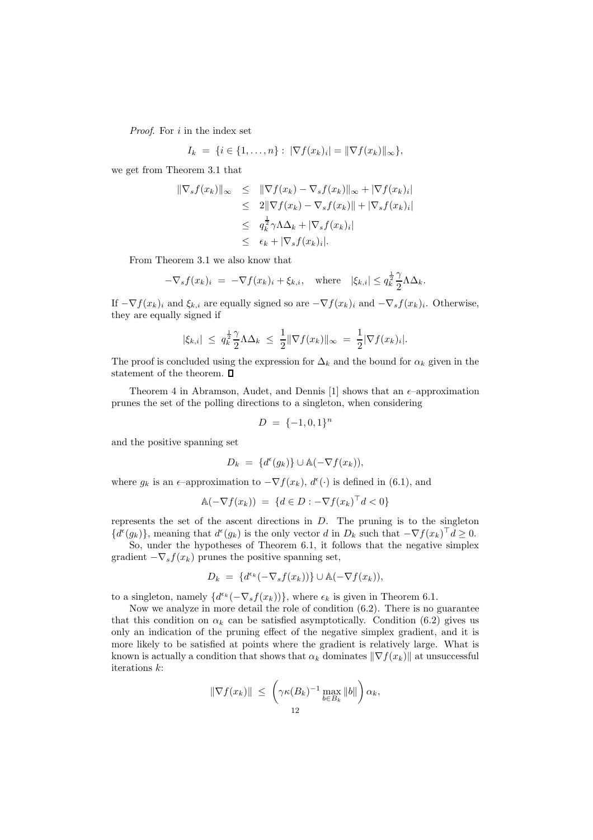*Proof.* For  $i$  in the index set

$$
I_k = \{i \in \{1, ..., n\} : |\nabla f(x_k)_i| = ||\nabla f(x_k)||_{\infty}\},\
$$

we get from Theorem 3.1 that

$$
\|\nabla_s f(x_k)\|_{\infty} \leq \|\nabla f(x_k) - \nabla_s f(x_k)\|_{\infty} + |\nabla f(x_k)_i|
$$
  
\n
$$
\leq 2\|\nabla f(x_k) - \nabla_s f(x_k)\| + |\nabla_s f(x_k)_i|
$$
  
\n
$$
\leq q_k^{\frac{1}{2}} \gamma \Lambda \Delta_k + |\nabla_s f(x_k)_i|
$$
  
\n
$$
\leq \epsilon_k + |\nabla_s f(x_k)_i|.
$$

From Theorem 3.1 we also know that

$$
-\nabla_s f(x_k)_i = -\nabla f(x_k)_i + \xi_{k,i}, \quad \text{where} \quad |\xi_{k,i}| \leq q_k^{\frac{1}{2}} \frac{\gamma}{2} \Lambda \Delta_k.
$$

If  $-\nabla f(x_k)_i$  and  $\xi_{k,i}$  are equally signed so are  $-\nabla f(x_k)_i$  and  $-\nabla_s f(x_k)_i$ . Otherwise, they are equally signed if

$$
|\xi_{k,i}| \leq q_k^{\frac{1}{2}} \frac{\gamma}{2} \Lambda \Delta_k \leq \frac{1}{2} \|\nabla f(x_k)\|_{\infty} = \frac{1}{2} |\nabla f(x_k)_i|.
$$

The proof is concluded using the expression for  $\Delta_k$  and the bound for  $\alpha_k$  given in the statement of the theorem.  $\square$ 

Theorem 4 in Abramson, Audet, and Dennis [1] shows that an  $\epsilon$ –approximation prunes the set of the polling directions to a singleton, when considering

$$
D = \{-1, 0, 1\}^n
$$

and the positive spanning set

$$
D_k = \{d^{\epsilon}(g_k)\} \cup \mathbb{A}(-\nabla f(x_k)),
$$

where  $g_k$  is an  $\epsilon$ –approximation to  $-\nabla f(x_k)$ ,  $d^{\epsilon}(\cdot)$  is defined in (6.1), and

$$
\mathbb{A}(-\nabla f(x_k)) = \{d \in D : -\nabla f(x_k)^\top d < 0\}
$$

represents the set of the ascent directions in  $D$ . The pruning is to the singleton  $\{d^{\epsilon}(g_k)\}\$ , meaning that  $d^{\epsilon}(g_k)$  is the only vector d in  $D_k$  such that  $-\nabla f(x_k)^{\top} d \geq 0$ .

So, under the hypotheses of Theorem 6.1, it follows that the negative simplex gradient  $-\nabla_s f(x_k)$  prunes the positive spanning set,

$$
D_k = \{d^{\epsilon_k}(-\nabla_s f(x_k))\} \cup \mathbb{A}(-\nabla f(x_k)),
$$

to a singleton, namely  $\{d^{\epsilon_k}(-\nabla_s f(x_k))\}$ , where  $\epsilon_k$  is given in Theorem 6.1.

Now we analyze in more detail the role of condition (6.2). There is no guarantee that this condition on  $\alpha_k$  can be satisfied asymptotically. Condition (6.2) gives us only an indication of the pruning effect of the negative simplex gradient, and it is more likely to be satisfied at points where the gradient is relatively large. What is known is actually a condition that shows that  $\alpha_k$  dominates  $\|\nabla f(x_k)\|$  at unsuccessful iterations k:

$$
\|\nabla f(x_k)\| \ \leq \ \left(\gamma \kappa(B_k)^{-1} \max_{b \in B_k} \|b\|\right) \alpha_k,
$$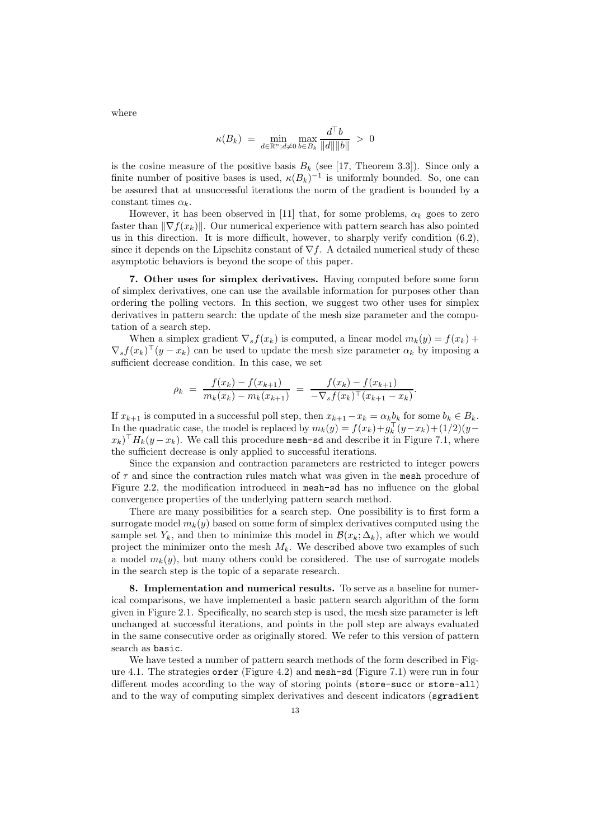where

$$
\kappa(B_k) = \min_{d \in \mathbb{R}^n; d \neq 0} \max_{b \in B_k} \frac{d^{\top} b}{\|d\| \|b\|} > 0
$$

is the cosine measure of the positive basis  $B_k$  (see [17, Theorem 3.3]). Since only a finite number of positive bases is used,  $\kappa(B_k)^{-1}$  is uniformly bounded. So, one can be assured that at unsuccessful iterations the norm of the gradient is bounded by a constant times  $\alpha_k$ .

However, it has been observed in [11] that, for some problems,  $\alpha_k$  goes to zero faster than  $\|\nabla f(x_k)\|$ . Our numerical experience with pattern search has also pointed us in this direction. It is more difficult, however, to sharply verify condition  $(6.2)$ , since it depends on the Lipschitz constant of  $\nabla f$ . A detailed numerical study of these asymptotic behaviors is beyond the scope of this paper.

7. Other uses for simplex derivatives. Having computed before some form of simplex derivatives, one can use the available information for purposes other than ordering the polling vectors. In this section, we suggest two other uses for simplex derivatives in pattern search: the update of the mesh size parameter and the computation of a search step.

When a simplex gradient  $\nabla_s f(x_k)$  is computed, a linear model  $m_k(y) = f(x_k) +$  $\nabla_s f(x_k)^\top (y - x_k)$  can be used to update the mesh size parameter  $\alpha_k$  by imposing a sufficient decrease condition. In this case, we set

$$
\rho_k = \frac{f(x_k) - f(x_{k+1})}{m_k(x_k) - m_k(x_{k+1})} = \frac{f(x_k) - f(x_{k+1})}{-\nabla_s f(x_k)^\top (x_{k+1} - x_k)}.
$$

If  $x_{k+1}$  is computed in a successful poll step, then  $x_{k+1} - x_k = \alpha_k b_k$  for some  $b_k \in B_k$ . In the quadratic case, the model is replaced by  $m_k(y) = f(x_k) + g_k^{\top}(y-x_k) + (1/2)(y-\tau_k)$  $(x_k)$ <sup>T</sup> $H_k(y-x_k)$ . We call this procedure mesh-sd and describe it in Figure 7.1, where the sufficient decrease is only applied to successful iterations.

Since the expansion and contraction parameters are restricted to integer powers of  $\tau$  and since the contraction rules match what was given in the mesh procedure of Figure 2.2, the modification introduced in mesh-sd has no influence on the global convergence properties of the underlying pattern search method.

There are many possibilities for a search step. One possibility is to first form a surrogate model  $m_k(y)$  based on some form of simplex derivatives computed using the sample set  $Y_k$ , and then to minimize this model in  $\mathcal{B}(x_k; \Delta_k)$ , after which we would project the minimizer onto the mesh  $M_k$ . We described above two examples of such a model  $m_k(y)$ , but many others could be considered. The use of surrogate models in the search step is the topic of a separate research.

8. Implementation and numerical results. To serve as a baseline for numerical comparisons, we have implemented a basic pattern search algorithm of the form given in Figure 2.1. Specifically, no search step is used, the mesh size parameter is left unchanged at successful iterations, and points in the poll step are always evaluated in the same consecutive order as originally stored. We refer to this version of pattern search as basic.

We have tested a number of pattern search methods of the form described in Figure 4.1. The strategies order (Figure 4.2) and mesh-sd (Figure 7.1) were run in four different modes according to the way of storing points (store-succ or store-all) and to the way of computing simplex derivatives and descent indicators (sgradient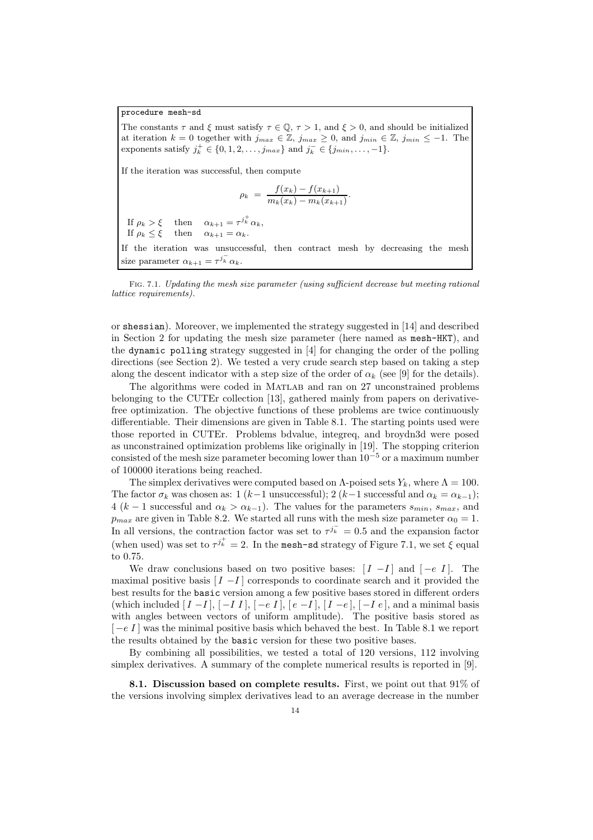## procedure mesh-sd

The constants  $\tau$  and  $\xi$  must satisfy  $\tau \in \mathbb{Q}, \tau > 1$ , and  $\xi > 0$ , and should be initialized at iteration  $k = 0$  together with  $j_{max} \in \mathbb{Z}$ ,  $j_{max} \ge 0$ , and  $j_{min} \in \mathbb{Z}$ ,  $j_{min} \le -1$ . The exponents satisfy  $j_k^+ \in \{0, 1, 2, ..., j_{max}\}\$ and  $j_k^- \in \{j_{min}, ..., -1\}$ .

If the iteration was successful, then compute

$$
\rho_k = \frac{f(x_k) - f(x_{k+1})}{m_k(x_k) - m_k(x_{k+1})}.
$$

If  $\rho_k > \xi$  then  $\alpha_{k+1} = \tau^{j_k^+} \alpha_k$ , If  $\rho_k \leq \xi$  then  $\alpha_{k+1} = \alpha_k$ .

If the iteration was unsuccessful, then contract mesh by decreasing the mesh size parameter  $\alpha_{k+1} = \tau^{j_k^-} \alpha_k$ .

Fig. 7.1. Updating the mesh size parameter (using sufficient decrease but meeting rational lattice requirements).

or shessian). Moreover, we implemented the strategy suggested in [14] and described in Section 2 for updating the mesh size parameter (here named as mesh-HKT), and the dynamic polling strategy suggested in [4] for changing the order of the polling directions (see Section 2). We tested a very crude search step based on taking a step along the descent indicator with a step size of the order of  $\alpha_k$  (see [9] for the details).

The algorithms were coded in Matlab and ran on 27 unconstrained problems belonging to the CUTEr collection [13], gathered mainly from papers on derivativefree optimization. The objective functions of these problems are twice continuously differentiable. Their dimensions are given in Table 8.1. The starting points used were those reported in CUTEr. Problems bdvalue, integreq, and broydn3d were posed as unconstrained optimization problems like originally in [19]. The stopping criterion consisted of the mesh size parameter becoming lower than  $10^{-5}$  or a maximum number of 100000 iterations being reached.

The simplex derivatives were computed based on  $\Lambda$ -poised sets  $Y_k$ , where  $\Lambda = 100$ . The factor  $\sigma_k$  was chosen as: 1 (k-1 unsuccessful); 2 (k-1 successful and  $\alpha_k = \alpha_{k-1}$ ); 4 (k − 1 successful and  $\alpha_k > \alpha_{k-1}$ ). The values for the parameters  $s_{min}$ ,  $s_{max}$ , and  $p_{max}$  are given in Table 8.2. We started all runs with the mesh size parameter  $\alpha_0 = 1$ . In all versions, the contraction factor was set to  $\tau^{j_k^-} = 0.5$  and the expansion factor (when used) was set to  $\tau^{j^+} = 2$ . In the mesh-sd strategy of Figure 7.1, we set  $\xi$  equal to 0.75.

We draw conclusions based on two positive bases:  $[I - I]$  and  $[-e I]$ . The maximal positive basis  $[I - I]$  corresponds to coordinate search and it provided the best results for the basic version among a few positive bases stored in different orders (which included  $[I - I]$ ,  $[-I I]$ ,  $[-e I]$ ,  $[e - I]$ ,  $[I - e]$ ,  $[-I e]$ , and a minimal basis with angles between vectors of uniform amplitude). The positive basis stored as  $[-e I]$  was the minimal positive basis which behaved the best. In Table 8.1 we report the results obtained by the basic version for these two positive bases.

By combining all possibilities, we tested a total of 120 versions, 112 involving simplex derivatives. A summary of the complete numerical results is reported in [9].

8.1. Discussion based on complete results. First, we point out that  $91\%$  of the versions involving simplex derivatives lead to an average decrease in the number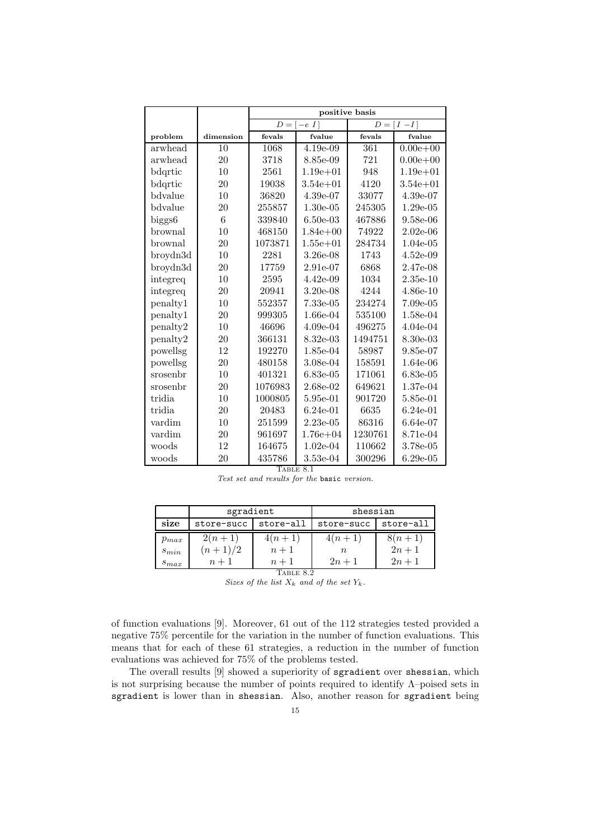|          |           | positive basis    |              |                    |              |  |
|----------|-----------|-------------------|--------------|--------------------|--------------|--|
|          |           | $D =$<br>$[-e~I]$ |              | $D = [I - I]$      |              |  |
| problem  | dimension | fevals<br>fvalue  |              | fevals             | fvalue       |  |
| arwhead  | 10        | 1068              | $4.19e-09$   | 361                | $0.00e + 00$ |  |
| arwhead  | 20        | 3718              | 8.85e-09     | 721                | $0.00e + 00$ |  |
| bdqrtic  | 10        | 2561              | $1.19e + 01$ | 948                | $1.19e + 01$ |  |
| bdqrtic  | 20        | 19038             | $3.54e + 01$ | 4120               | $3.54e + 01$ |  |
| bdvalue  | 10        | 36820             | 4.39e-07     | 33077              | $4.39e-07$   |  |
| bdvalue  | 20        | 255857            | $1.30e-0.5$  | 245305             | $1.29e-05$   |  |
| biggs6   | 6         | 339840            | $6.50e-03$   | 467886             | $9.58e-06$   |  |
| brownal  | 10        | 468150            | $1.84e + 00$ | 74922              | $2.02e-06$   |  |
| brownal  | 20        | 1073871           | $1.55e + 01$ | 284734             | $1.04e-05$   |  |
| broydn3d | 10        | 2281              | $3.26e-08$   | 1743               | $4.52e-09$   |  |
| broydn3d | 20        | 17759             | 2.91e-07     | 6868               | 2.47e-08     |  |
| integreq | 10        | 2595              | $4.42e-09$   | 1034               | $2.35e-10$   |  |
| integreq | 20        | 20941             | $3.20e-08$   | 4244               | $4.86e-10$   |  |
| penalty1 | 10        | 552357            | 7.33e-05     | 234274             | $7.09e-05$   |  |
| penalty1 | 20        | 999305            | 1.66e-04     | 535100             | 1.58e-04     |  |
| penalty2 | 10        | 46696             | $4.09e-04$   | 496275             | $4.04e-04$   |  |
| penalty2 | 20        | 366131            | $8.32e-03$   | 1494751            | 8.30e-03     |  |
| powellsg | 12        | 192270            | 1.85e-04     | 58987              | 9.85e-07     |  |
| powellsg | 20        | 480158            | 3.08e-04     | 158591             | 1.64e-06     |  |
| srosenbr | 10        | 401321            | $6.83e-05$   | 171061             | $6.83e-05$   |  |
| srosenbr | 20        | 1076983           | $2.68e-02$   | 649621<br>1.37e-04 |              |  |
| tridia   | 10        | 1000805           | 5.95e-01     | 901720             | 5.85e-01     |  |
| tridia   | 20        | 20483             | $6.24e-01$   | 6635               | $6.24e-01$   |  |
| vardim   | 10        | 251599            | $2.23e-05$   | 86316              | 6.64e-07     |  |
| vardim   | 20        | 961697            | $1.76e + 04$ | 1230761            | 8.71e-04     |  |
| woods    | 12        | 164675            | $1.02e-04$   | 110662             | 3.78e-05     |  |
| woods    | 20        | 435786            | 3.53e-04     | 300296             | $6.29e-05$   |  |

Table 8.1

| Test set and results for the basic version. |  |
|---------------------------------------------|--|
|---------------------------------------------|--|

|           | sgradient  |           | shessian   |           |  |
|-----------|------------|-----------|------------|-----------|--|
| size      | store-succ | store-all | store-succ | store-all |  |
| $p_{max}$ | $2(n+1)$   | $4(n+1)$  | $4(n+1)$   | $8(n+1)$  |  |
| $s_{min}$ | $(n+1)/2$  | $n+1$     | n          | $2n + 1$  |  |
| $s_{max}$ | $n+1$      | $n+1$     | $2n+1$     | $2n + 1$  |  |
| TABLE 8.2 |            |           |            |           |  |

Sizes of the list  $X_k$  and of the set  $Y_k$ .

of function evaluations [9]. Moreover, 61 out of the 112 strategies tested provided a negative 75% percentile for the variation in the number of function evaluations. This means that for each of these 61 strategies, a reduction in the number of function evaluations was achieved for 75% of the problems tested.

The overall results [9] showed a superiority of sgradient over shessian, which is not surprising because the number of points required to identify Λ–poised sets in sgradient is lower than in shessian. Also, another reason for sgradient being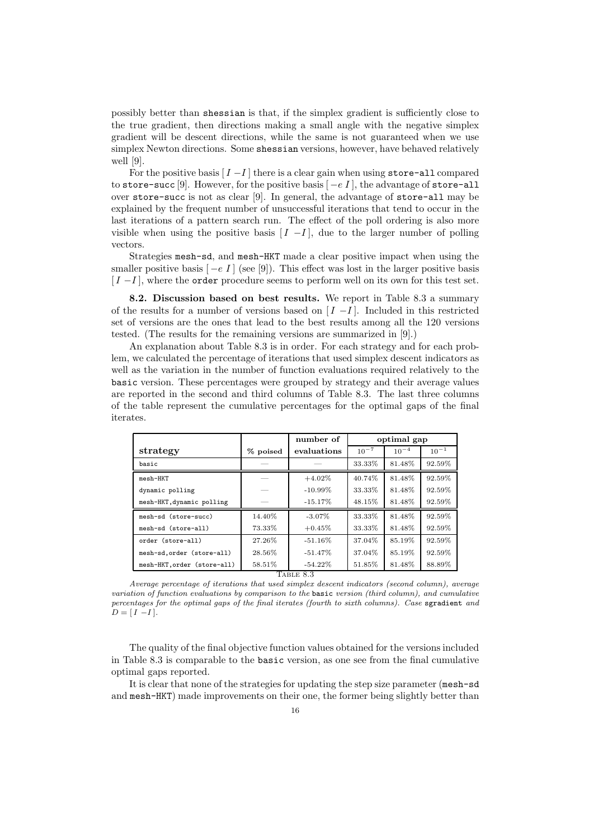possibly better than shessian is that, if the simplex gradient is sufficiently close to the true gradient, then directions making a small angle with the negative simplex gradient will be descent directions, while the same is not guaranteed when we use simplex Newton directions. Some shessian versions, however, have behaved relatively well [9].

For the positive basis  $[I - I]$  there is a clear gain when using store-all compared to store-succ [9]. However, for the positive basis  $[-e I]$ , the advantage of store-all over store-succ is not as clear [9]. In general, the advantage of store-all may be explained by the frequent number of unsuccessful iterations that tend to occur in the last iterations of a pattern search run. The effect of the poll ordering is also more visible when using the positive basis  $[I - I]$ , due to the larger number of polling vectors.

Strategies mesh-sd, and mesh-HKT made a clear positive impact when using the smaller positive basis  $[-e, I]$  (see [9]). This effect was lost in the larger positive basis  $[I - I]$ , where the order procedure seems to perform well on its own for this test set.

8.2. Discussion based on best results. We report in Table 8.3 a summary of the results for a number of versions based on  $[I - I]$ . Included in this restricted set of versions are the ones that lead to the best results among all the 120 versions tested. (The results for the remaining versions are summarized in [9].)

An explanation about Table 8.3 is in order. For each strategy and for each problem, we calculated the percentage of iterations that used simplex descent indicators as well as the variation in the number of function evaluations required relatively to the basic version. These percentages were grouped by strategy and their average values are reported in the second and third columns of Table 8.3. The last three columns of the table represent the cumulative percentages for the optimal gaps of the final iterates.

|                             |          | number of   | optimal gap |           |           |
|-----------------------------|----------|-------------|-------------|-----------|-----------|
| strategy                    | % poised | evaluations | $10^{-7}$   | $10^{-4}$ | $10^{-1}$ |
| basic                       |          |             | 33.33%      | 81.48%    | 92.59%    |
| $mesh-HKT$                  |          | $+4.02%$    | 40.74%      | 81.48%    | 92.59%    |
| dynamic polling             |          | $-10.99\%$  | 33.33%      | 81.48%    | 92.59%    |
| mesh-HKT, dynamic polling   |          | $-15.17\%$  | 48.15%      | 81.48%    | 92.59%    |
| mesh-sd (store-succ)        | 14.40%   | $-3.07\%$   | 33.33%      | 81.48%    | 92.59%    |
| mesh-sd (store-all)         | 73.33%   | $+0.45%$    | 33.33%      | 81.48%    | 92.59%    |
| order (store-all)           | 27.26%   | $-51.16%$   | 37.04%      | 85.19%    | 92.59%    |
| mesh-sd, order (store-all)  | 28.56%   | $-51.47%$   | 37.04%      | 85.19%    | 92.59%    |
| mesh-HKT, order (store-all) | 58.51%   | $-54.22\%$  | 51.85%      | 81.48%    | 88.89%    |

TABLE 8.3

Average percentage of iterations that used simplex descent indicators (second column), average variation of function evaluations by comparison to the basic version (third column), and cumulative percentages for the optimal gaps of the final iterates (fourth to sixth columns). Case sgradient and  $D = [I - I].$ 

The quality of the final objective function values obtained for the versions included in Table 8.3 is comparable to the basic version, as one see from the final cumulative optimal gaps reported.

It is clear that none of the strategies for updating the step size parameter (mesh-sd and mesh-HKT) made improvements on their one, the former being slightly better than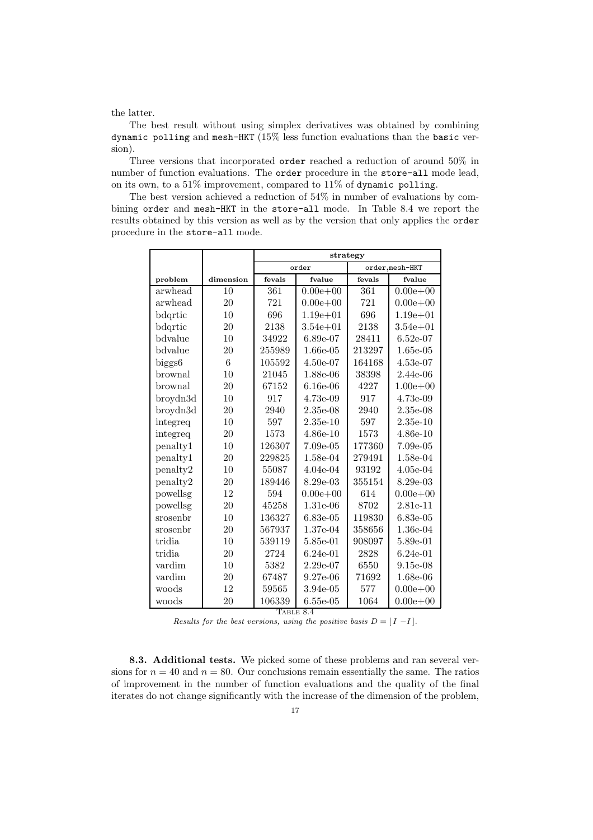the latter.

The best result without using simplex derivatives was obtained by combining dynamic polling and mesh-HKT (15% less function evaluations than the basic version).

Three versions that incorporated order reached a reduction of around 50% in number of function evaluations. The order procedure in the store-all mode lead, on its own, to a  $51\%$  improvement, compared to  $11\%$  of dynamic polling.

The best version achieved a reduction of 54% in number of evaluations by combining order and mesh-HKT in the store-all mode. In Table 8.4 we report the results obtained by this version as well as by the version that only applies the order procedure in the store-all mode.

|          |           | strategy |              |                   |              |
|----------|-----------|----------|--------------|-------------------|--------------|
|          |           | order    |              | order, mesh-HKT   |              |
| problem  | dimension | fevals   | fvalue       | fevals            | fvalue       |
| arwhead  | 10        | 361      | $0.00e + 00$ |                   | $0.00e + 00$ |
| arwhead  | 20        | 721      | $0.00e + 00$ | 721               | $0.00e + 00$ |
| bdqrtic  | 10        | 696      | $1.19e + 01$ | 696               | $1.19e + 01$ |
| bdqrtic  | 20        | 2138     | $3.54e + 01$ | 2138              | $3.54e + 01$ |
| bdvalue  | 10        | 34922    | 6.89e-07     | 28411             | $6.52e-07$   |
| bdvalue  | 20        | 255989   | 1.66e-05     | 213297            | $1.65e-05$   |
| biggs6   | 6         | 105592   | $4.50e-07$   | 164168            | $4.53e-07$   |
| brownal  | 10        | 21045    | 1.88e-06     | 38398             | 2.44e-06     |
| brownal  | 20        | 67152    | $6.16e-06$   | 4227              | $1.00e + 00$ |
| broydn3d | 10        | 917      | 4.73e-09     | 917               | 4.73e-09     |
| broydn3d | 20        | 2940     | $2.35e-08$   | 2940              | $2.35e-08$   |
| integreq | 10        | 597      | $2.35e-10$   | 597               | $2.35e-10$   |
| integreq | 20        | 1573     | $4.86e-10$   | 1573              | $4.86e-10$   |
| penalty1 | 10        | 126307   | 7.09e-05     | 177360            | 7.09e-05     |
| penalty1 | 20        | 229825   | 1.58e-04     | 279491            | 1.58e-04     |
| penalty2 | 10        | 55087    | $4.04e-04$   | 93192             | $4.05e-04$   |
| penalty2 | 20        | 189446   | 8.29e-03     | 355154            | 8.29e-03     |
| powellsg | 12        | 594      | $0.00e + 00$ | 614               | $0.00e + 00$ |
| powellsg | 20        | 45258    | $1.31e-06$   | 8702              | $2.81e-11$   |
| srosenbr | 10        | 136327   | $6.83e-05$   | 119830            | $6.83e-05$   |
| srosenbr | 20        | 567937   | 1.37e-04     | 358656            | 1.36e-04     |
| tridia   | 10        | 539119   | 5.85e-01     | 908097            | 5.89e-01     |
| tridia   | 20        | 2724     | $6.24e-01$   | 2828              | $6.24e-01$   |
| vardim   | 10        | 5382     | 2.29e-07     | 6550              | $9.15e-08$   |
| vardim   | 20        | 67487    | $9.27e-06$   | 71692<br>1.68e-06 |              |
| woods    | 12        | 59565    | 3.94e-05     | 577               | $0.00e + 00$ |
| woods    | 20        | 106339   | $6.55e-05$   | 1064              | $0.00e + 00$ |

TABLE 8.4

Results for the best versions, using the positive basis  $D = [I - I]$ .

8.3. Additional tests. We picked some of these problems and ran several versions for  $n = 40$  and  $n = 80$ . Our conclusions remain essentially the same. The ratios of improvement in the number of function evaluations and the quality of the final iterates do not change significantly with the increase of the dimension of the problem,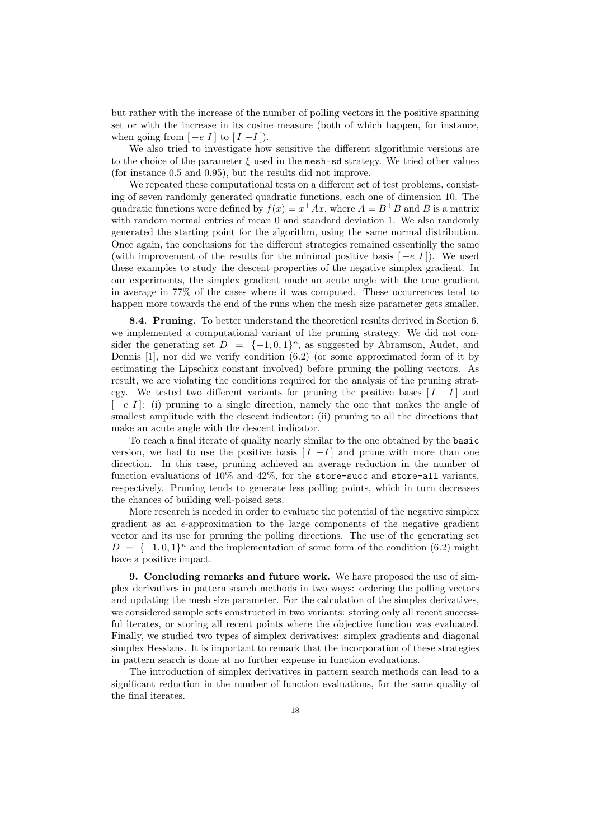but rather with the increase of the number of polling vectors in the positive spanning set or with the increase in its cosine measure (both of which happen, for instance, when going from  $[-e I]$  to  $[I - I]$ ).

We also tried to investigate how sensitive the different algorithmic versions are to the choice of the parameter  $\xi$  used in the mesh-sd strategy. We tried other values (for instance 0.5 and 0.95), but the results did not improve.

We repeated these computational tests on a different set of test problems, consisting of seven randomly generated quadratic functions, each one of dimension 10. The quadratic functions were defined by  $f(x) = x^{\top} A x$ , where  $A = B^{\top} B$  and B is a matrix with random normal entries of mean 0 and standard deviation 1. We also randomly generated the starting point for the algorithm, using the same normal distribution. Once again, the conclusions for the different strategies remained essentially the same (with improvement of the results for the minimal positive basis  $[-e I]$ ). We used these examples to study the descent properties of the negative simplex gradient. In our experiments, the simplex gradient made an acute angle with the true gradient in average in 77% of the cases where it was computed. These occurrences tend to happen more towards the end of the runs when the mesh size parameter gets smaller.

8.4. Pruning. To better understand the theoretical results derived in Section 6, we implemented a computational variant of the pruning strategy. We did not consider the generating set  $D = \{-1,0,1\}^n$ , as suggested by Abramson, Audet, and Dennis [1], nor did we verify condition (6.2) (or some approximated form of it by estimating the Lipschitz constant involved) before pruning the polling vectors. As result, we are violating the conditions required for the analysis of the pruning strategy. We tested two different variants for pruning the positive bases  $[I - I]$  and  $[-e I]$ : (i) pruning to a single direction, namely the one that makes the angle of smallest amplitude with the descent indicator; (ii) pruning to all the directions that make an acute angle with the descent indicator.

To reach a final iterate of quality nearly similar to the one obtained by the basic version, we had to use the positive basis  $[I - I]$  and prune with more than one direction. In this case, pruning achieved an average reduction in the number of function evaluations of  $10\%$  and  $42\%$ , for the store-succ and store-all variants, respectively. Pruning tends to generate less polling points, which in turn decreases the chances of building well-poised sets.

More research is needed in order to evaluate the potential of the negative simplex gradient as an  $\epsilon$ -approximation to the large components of the negative gradient vector and its use for pruning the polling directions. The use of the generating set  $D = \{-1, 0, 1\}^n$  and the implementation of some form of the condition (6.2) might have a positive impact.

9. Concluding remarks and future work. We have proposed the use of simplex derivatives in pattern search methods in two ways: ordering the polling vectors and updating the mesh size parameter. For the calculation of the simplex derivatives, we considered sample sets constructed in two variants: storing only all recent successful iterates, or storing all recent points where the objective function was evaluated. Finally, we studied two types of simplex derivatives: simplex gradients and diagonal simplex Hessians. It is important to remark that the incorporation of these strategies in pattern search is done at no further expense in function evaluations.

The introduction of simplex derivatives in pattern search methods can lead to a significant reduction in the number of function evaluations, for the same quality of the final iterates.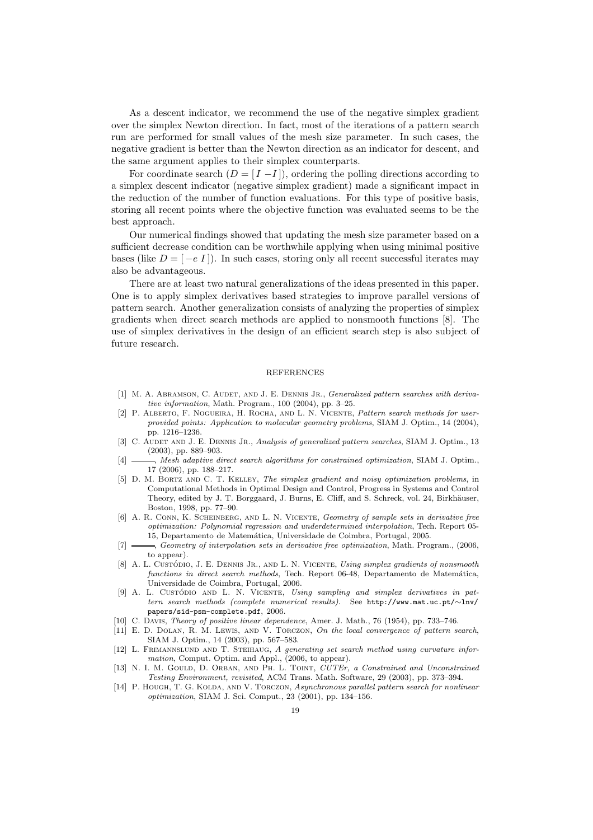As a descent indicator, we recommend the use of the negative simplex gradient over the simplex Newton direction. In fact, most of the iterations of a pattern search run are performed for small values of the mesh size parameter. In such cases, the negative gradient is better than the Newton direction as an indicator for descent, and the same argument applies to their simplex counterparts.

For coordinate search  $(D = [I - I])$ , ordering the polling directions according to a simplex descent indicator (negative simplex gradient) made a significant impact in the reduction of the number of function evaluations. For this type of positive basis, storing all recent points where the objective function was evaluated seems to be the best approach.

Our numerical findings showed that updating the mesh size parameter based on a sufficient decrease condition can be worthwhile applying when using minimal positive bases (like  $D = [-e I]$ ). In such cases, storing only all recent successful iterates may also be advantageous.

There are at least two natural generalizations of the ideas presented in this paper. One is to apply simplex derivatives based strategies to improve parallel versions of pattern search. Another generalization consists of analyzing the properties of simplex gradients when direct search methods are applied to nonsmooth functions [8]. The use of simplex derivatives in the design of an efficient search step is also subject of future research.

#### REFERENCES

- [1] M. A. ABRAMSON, C. AUDET, AND J. E. DENNIS JR., Generalized pattern searches with derivative information, Math. Program., 100 (2004), pp. 3–25.
- [2] P. Alberto, F. Nogueira, H. Rocha, and L. N. Vicente, Pattern search methods for userprovided points: Application to molecular geometry problems, SIAM J. Optim., 14 (2004), pp. 1216–1236.
- [3] C. AUDET AND J. E. DENNIS JR., Analysis of generalized pattern searches, SIAM J. Optim., 13 (2003), pp. 889–903.
- [4]  $\frac{1}{2}$ , Mesh adaptive direct search algorithms for constrained optimization, SIAM J. Optim., 17 (2006), pp. 188–217.
- [5] D. M. Bortz and C. T. Kelley, The simplex gradient and noisy optimization problems, in Computational Methods in Optimal Design and Control, Progress in Systems and Control Theory, edited by J. T. Borggaard, J. Burns, E. Cliff, and S. Schreck, vol. 24, Birkhäuser, Boston, 1998, pp. 77–90.
- [6] A. R. CONN, K. SCHEINBERG, AND L. N. VICENTE, Geometry of sample sets in derivative free optimization: Polynomial regression and underdetermined interpolation, Tech. Report 05- 15, Departamento de Matemática, Universidade de Coimbra, Portugal, 2005.
- [7]  $\rightarrow$ , Geometry of interpolation sets in derivative free optimization, Math. Program., (2006, to appear).
- [8] A. L. CUSTÓDIO, J. E. DENNIS JR., AND L. N. VICENTE, Using simplex gradients of nonsmooth functions in direct search methods, Tech. Report 06-48, Departamento de Matemática, Universidade de Coimbra, Portugal, 2006.
- [9] A. L. CUSTÓDIO AND L. N. VICENTE, Using sampling and simplex derivatives in pattern search methods (complete numerical results). See http://www.mat.uc.pt/∼lnv/ papers/sid-psm-complete.pdf, 2006.
- [10] C. Davis, Theory of positive linear dependence, Amer. J. Math., 76 (1954), pp. 733–746.
- [11] E. D. Dolan, R. M. Lewis, and V. Torczon, On the local convergence of pattern search, SIAM J. Optim., 14 (2003), pp. 567–583.
- [12] L. Frimannslund and T. Steihaug, A generating set search method using curvature information, Comput. Optim. and Appl., (2006, to appear).
- [13] N. I. M. GOULD, D. ORBAN, AND PH. L. TOINT, CUTEr, a Constrained and Unconstrained Testing Environment, revisited, ACM Trans. Math. Software, 29 (2003), pp. 373–394.
- [14] P. HOUGH, T. G. KOLDA, AND V. TORCZON, Asynchronous parallel pattern search for nonlinear optimization, SIAM J. Sci. Comput., 23 (2001), pp. 134–156.